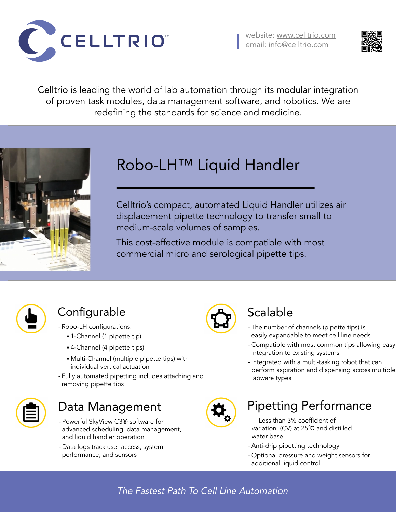### Data Management

- Powerful SkyView C3® software for advanced scheduling, data management, and liquid handler operation
- Data logs track user access, system performance, and sensors



The Fastest Path To Cell Line Automation



website: [www.celltrio.com](http://www.celltrio.com/) email: [info@celltrio.com](mailto:info@celltrio.com)



# Robo-LH™ Liquid Handler

Celltrio's compact, automated Liquid Handler utilizes air displacement pipette technology to transfer small to medium-scale volumes of samples.

- Less than 3% coefficient of variation (CV) at 25<sup>°</sup>C and distilled water base
- -Anti-drip pipetting technology
- Optional pressure and weight sensors for additional liquid control

This cost-effective module is compatible with most commercial micro and serological pipette tips.



### Pipetting Performance

### Configurable

- Robo-LH configurations:
	- 1-Channel (1 pipette tip)
	- 4-Channel (4 pipette tips)
	- Multi-Channel (multiple pipette tips) with individual vertical actuation
- Fully automated pipetting includes attaching and removing pipette tips



### Scalable

- The number of channels (pipette tips) is easily expandable to meet cell line needs
- Compatible with most common tips allowing easy integration to existing systems
- Integrated with a multi-tasking robot that can perform aspiration and dispensing across multiple labware types



Celltrio is leading the world of lab automation through its modular integration of proven task modules, data management software, and robotics. We are redefining the standards for science and medicine.